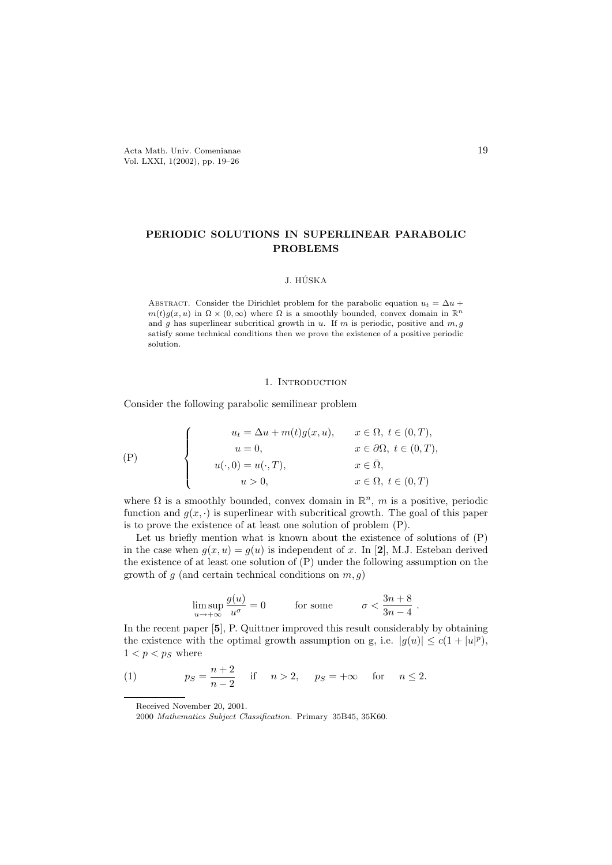# PERIODIC SOLUTIONS IN SUPERLINEAR PARABOLIC PROBLEMS

# J. HÚSKA

ABSTRACT. Consider the Dirichlet problem for the parabolic equation  $u_t = \Delta u +$  $m(t)g(x, u)$  in  $\Omega \times (0, \infty)$  where  $\Omega$  is a smoothly bounded, convex domain in  $\mathbb{R}^n$ and g has superlinear subcritical growth in  $u$ . If  $m$  is periodic, positive and  $m, g$ satisfy some technical conditions then we prove the existence of a positive periodic solution.

## 1. INTRODUCTION

Consider the following parabolic semilinear problem

$$
\begin{cases}\n u_t = \Delta u + m(t)g(x, u), & x \in \Omega, \ t \in (0, T), \\
u = 0, & x \in \partial\Omega, \ t \in (0, T), \\
u(\cdot, 0) = u(\cdot, T), & x \in \overline{\Omega}, \\
u > 0, & x \in \Omega, \ t \in (0, T)\n\end{cases}
$$

where  $\Omega$  is a smoothly bounded, convex domain in  $\mathbb{R}^n$ , m is a positive, periodic function and  $g(x, \cdot)$  is superlinear with subcritical growth. The goal of this paper is to prove the existence of at least one solution of problem (P).

Let us briefly mention what is known about the existence of solutions of  $(P)$ in the case when  $q(x, u) = q(u)$  is independent of x. In [2], M.J. Esteban derived the existence of at least one solution of (P) under the following assumption on the growth of  $g$  (and certain technical conditions on  $m, g$ )

$$
\limsup_{u \to +\infty} \frac{g(u)}{u^{\sigma}} = 0 \quad \text{for some} \quad \sigma < \frac{3n+8}{3n-4}
$$

.

In the recent paper [5], P. Quittner improved this result considerably by obtaining the existence with the optimal growth assumption on g, i.e.  $|g(u)| \le c(1+|u|^p)$ ,  $1 < p < p_S$  where

(1) 
$$
p_S = \frac{n+2}{n-2} \quad \text{if} \quad n > 2, \quad p_S = +\infty \quad \text{for} \quad n \le 2.
$$

Received November 20, 2001.

<sup>2000</sup> Mathematics Subject Classification. Primary 35B45, 35K60.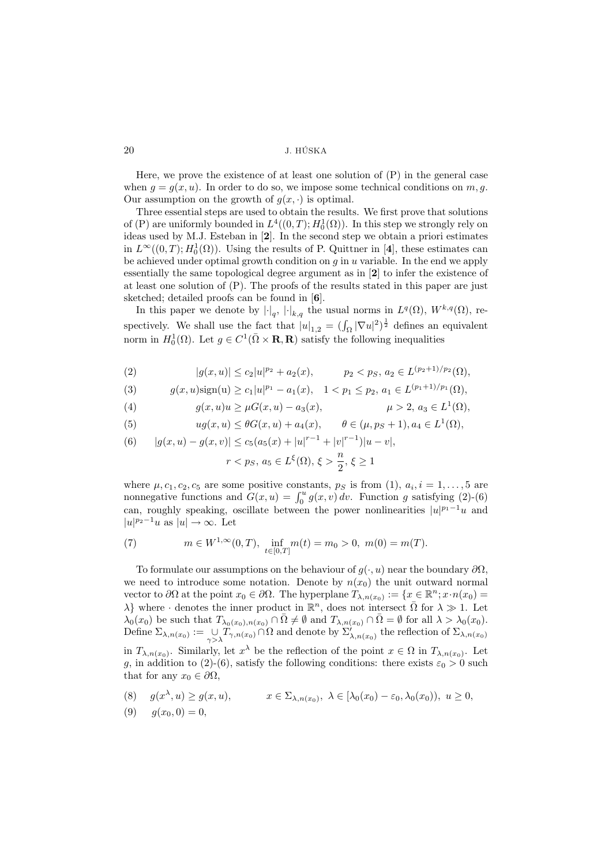Here, we prove the existence of at least one solution of (P) in the general case when  $q = q(x, u)$ . In order to do so, we impose some technical conditions on m, q. Our assumption on the growth of  $g(x, \cdot)$  is optimal.

Three essential steps are used to obtain the results. We first prove that solutions of (P) are uniformly bounded in  $L^4((0,T); H_0^1(\Omega))$ . In this step we strongly rely on ideas used by M.J. Esteban in [2]. In the second step we obtain a priori estimates in  $L^{\infty}((0,T); H_0^1(\Omega))$ . Using the results of P. Quittner in [4], these estimates can be achieved under optimal growth condition on  $q$  in  $u$  variable. In the end we apply essentially the same topological degree argument as in [2] to infer the existence of at least one solution of (P). The proofs of the results stated in this paper are just sketched; detailed proofs can be found in [6].

In this paper we denote by  $|\cdot|_q$ ,  $|\cdot|_{k,q}$  the usual norms in  $L^q(\Omega)$ ,  $W^{k,q}(\Omega)$ , respectively. We shall use the fact that  $|u|_{1,2} = (\int_{\Omega} |\nabla u|^2)^{\frac{1}{2}}$  defines an equivalent norm in  $H_0^1(\Omega)$ . Let  $g \in C^1(\overline{\Omega} \times \mathbf{R}, \mathbf{R})$  satisfy the following inequalities

(2) 
$$
|g(x, u)| \le c_2 |u|^{p_2} + a_2(x), \qquad p_2 < p_S, \ a_2 \in L^{(p_2 + 1)/p_2}(\Omega),
$$

(3) 
$$
g(x, u)\text{sign}(u) \ge c_1|u|^{p_1} - a_1(x), \quad 1 < p_1 \le p_2, \ a_1 \in L^{(p_1 + 1)/p_1}(\Omega),
$$

(4) 
$$
g(x, u)u \ge \mu G(x, u) - a_3(x), \qquad \mu > 2, a_3 \in L^1(\Omega),
$$

(5) 
$$
ug(x, u) \leq \theta G(x, u) + a_4(x), \qquad \theta \in (\mu, p_S + 1), a_4 \in L^1(\Omega),
$$

(6) 
$$
|g(x, u) - g(x, v)| \leq c_5(a_5(x) + |u|^{r-1} + |v|^{r-1})|u - v|
$$

$$
r\frac{n}{2},\, \xi\geq 1
$$

where  $\mu$ ,  $c_1$ ,  $c_2$ ,  $c_5$  are some positive constants,  $p_s$  is from (1),  $a_i$ ,  $i = 1, \ldots, 5$  are nonnegative functions and  $G(x, u) = \int_0^u g(x, v) dv$ . Function g satisfying (2)-(6) can, roughly speaking, oscillate between the power nonlinearities  $|u|^{p_1-1}u$  and  $|u|^{p_2-1}u$  as  $|u|\to\infty$ . Let

(7) 
$$
m \in W^{1,\infty}(0,T), \inf_{t \in [0,T]} m(t) = m_0 > 0, m(0) = m(T).
$$

To formulate our assumptions on the behaviour of  $g(\cdot, u)$  near the boundary  $\partial\Omega$ , we need to introduce some notation. Denote by  $n(x_0)$  the unit outward normal vector to  $\partial\Omega$  at the point  $x_0 \in \partial\Omega$ . The hyperplane  $T_{\lambda,n(x_0)} := \{x \in \mathbb{R}^n; x \cdot n(x_0) =$  $\lambda$ } where  $\cdot$  denotes the inner product in  $\mathbb{R}^n$ , does not intersect  $\overline{\Omega}$  for  $\lambda \gg 1$ . Let  $\lambda_0(x_0)$  be such that  $T_{\lambda_0(x_0),n(x_0)} \cap \overline{\Omega} \neq \emptyset$  and  $T_{\lambda,n(x_0)} \cap \overline{\Omega} = \emptyset$  for all  $\lambda > \lambda_0(x_0)$ . Define  $\Sigma_{\lambda,n(x_0)} := \bigcup_{\gamma > \lambda} T_{\gamma,n(x_0)} \cap \Omega$  and denote by  $\Sigma'_{\lambda,n(x_0)}$  the reflection of  $\Sigma_{\lambda,n(x_0)}$ in  $T_{\lambda,n(x_0)}$ . Similarly, let  $x^{\lambda}$  be the reflection of the point  $x \in \Omega$  in  $T_{\lambda,n(x_0)}$ . Let q, in addition to (2)-(6), satisfy the following conditions: there exists  $\varepsilon_0 > 0$  such that for any  $x_0 \in \partial \Omega$ ,

(8) 
$$
g(x^{\lambda}, u) \ge g(x, u),
$$
  $x \in \Sigma_{\lambda, n(x_0)}, \lambda \in [\lambda_0(x_0) - \varepsilon_0, \lambda_0(x_0)), u \ge 0,$ 

$$
(9) \t g(x_0, 0) = 0,
$$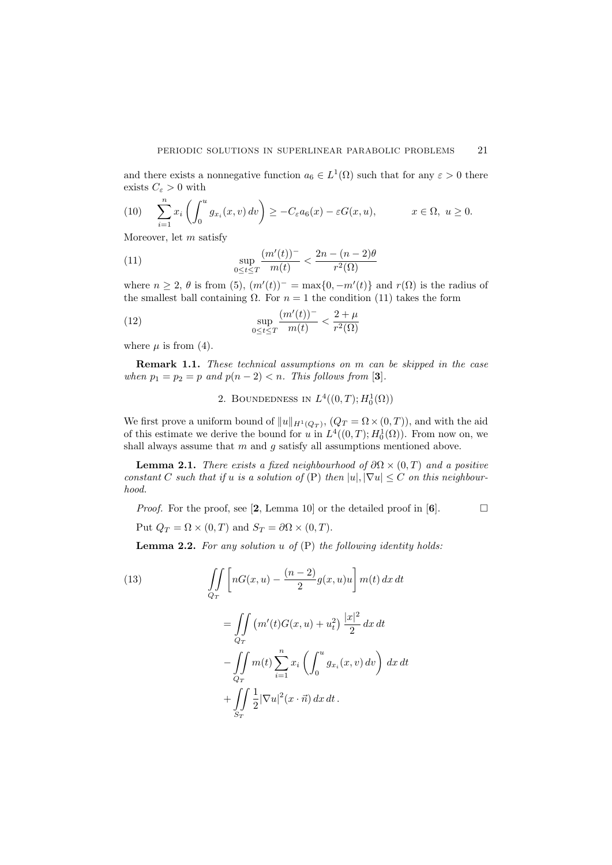and there exists a nonnegative function  $a_6 \in L^1(\Omega)$  such that for any  $\varepsilon > 0$  there exists  $C_{\varepsilon} > 0$  with

(10) 
$$
\sum_{i=1}^{n} x_i \left( \int_0^u g_{x_i}(x, v) dv \right) \geq -C_{\varepsilon} a_6(x) - \varepsilon G(x, u), \qquad x \in \Omega, \ u \geq 0.
$$

Moreover, let  $m$  satisfy

(11) 
$$
\sup_{0 \le t \le T} \frac{(m'(t))^{-}}{m(t)} < \frac{2n - (n-2)\theta}{r^2(\Omega)}
$$

where  $n \geq 2$ ,  $\theta$  is from (5),  $(m'(t))^- = \max\{0, -m'(t)\}\$ and  $r(\Omega)$  is the radius of the smallest ball containing  $\Omega$ . For  $n = 1$  the condition (11) takes the form

(12) 
$$
\sup_{0 \le t \le T} \frac{(m'(t))^{-}}{m(t)} < \frac{2 + \mu}{r^2(\Omega)}
$$

where  $\mu$  is from (4).

Remark 1.1. These technical assumptions on m can be skipped in the case when  $p_1 = p_2 = p$  and  $p(n-2) < n$ . This follows from [3].

2. BOUNDEDNESS IN  $L^4((0,T);H_0^1(\Omega))$ 

We first prove a uniform bound of  $||u||_{H^1(Q_T)}$ ,  $(Q_T = \Omega \times (0,T))$ , and with the aid of this estimate we derive the bound for u in  $L^4((0,T); H_0^1(\Omega))$ . From now on, we shall always assume that  $m$  and  $g$  satisfy all assumptions mentioned above.

**Lemma 2.1.** There exists a fixed neighbourhood of  $\partial\Omega \times (0,T)$  and a positive constant C such that if u is a solution of  $(P)$  then  $|u|, |\nabla u| \leq C$  on this neighbourhood.

*Proof.* For the proof, see [2, Lemma 10] or the detailed proof in [6].  $\Box$ 

Put 
$$
Q_T = \Omega \times (0, T)
$$
 and  $S_T = \partial \Omega \times (0, T)$ .

 $S_{T}$ 

**Lemma 2.2.** For any solution u of  $(P)$  the following identity holds:

(13)  
\n
$$
\iint_{Q_T} \left[ nG(x, u) - \frac{(n-2)}{2} g(x, u) u \right] m(t) dx dt
$$
\n
$$
= \iint_{Q_T} \left( m'(t) G(x, u) + u_t^2 \right) \frac{|x|^2}{2} dx dt
$$
\n
$$
- \iint_{Q_T} m(t) \sum_{i=1}^n x_i \left( \int_0^u g_{x_i}(x, v) dv \right) dx dt
$$
\n
$$
+ \iint \frac{1}{2} |\nabla u|^2 (x \cdot \vec{n}) dx dt.
$$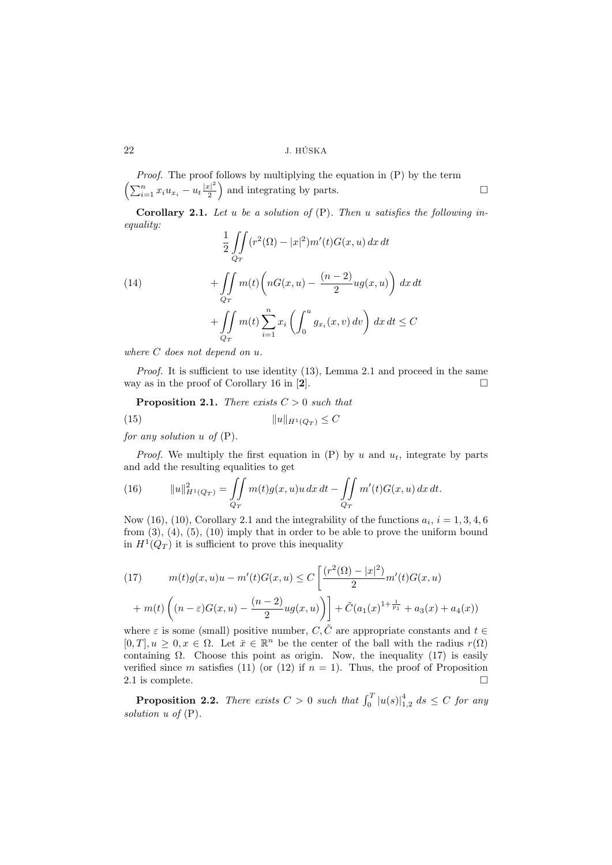$\left(\sum_{i=1}^n x_i u_{x_i} - u_t \frac{|x|^2}{2}\right)$ Proof. The proof follows by multiplying the equation in  $(P)$  by the term  $\frac{|c|^2}{2}$  and integrating by parts.

**Corollary 2.1.** Let u be a solution of  $(P)$ . Then u satisfies the following inequality:  $\overline{C}$ 

(14)  
\n
$$
\frac{1}{2} \iint_{Q_T} (r^2(\Omega) - |x|^2) m'(t) G(x, u) dx dt
$$
\n
$$
+ \iint_{Q_T} m(t) \left( nG(x, u) - \frac{(n-2)}{2} u g(x, u) \right) dx dt
$$
\n
$$
+ \iint_{Q_T} m(t) \sum_{i=1}^n x_i \left( \int_0^u g_{x_i}(x, v) dv \right) dx dt \leq C
$$

where C does not depend on u.

Proof. It is sufficient to use identity (13), Lemma 2.1 and proceed in the same way as in the proof of Corollary 16 in [2].  $\Box$ 

**Proposition 2.1.** There exists  $C > 0$  such that

(15) 
$$
||u||_{H^1(Q_T)} \leq C
$$

for any solution  $u$  of  $(P)$ .

*Proof.* We multiply the first equation in  $(P)$  by u and  $u_t$ , integrate by parts and add the resulting equalities to get

(16) 
$$
||u||_{H^1(Q_T)}^2 = \iint_{Q_T} m(t)g(x,u)u \, dx \, dt - \iint_{Q_T} m'(t)G(x,u) \, dx \, dt.
$$

Now (16), (10), Corollary 2.1 and the integrability of the functions  $a_i$ ,  $i = 1, 3, 4, 6$ from  $(3)$ ,  $(4)$ ,  $(5)$ ,  $(10)$  imply that in order to be able to prove the uniform bound in  $H^1(Q_T)$  it is sufficient to prove this inequality

(17) 
$$
m(t)g(x,u)u - m'(t)G(x,u) \le C\left[\frac{(r^2(\Omega) - |x|^2)}{2}m'(t)G(x,u) + m(t)\left((n-\varepsilon)G(x,u) - \frac{(n-2)}{2}ug(x,u)\right)\right] + \tilde{C}(a_1(x)^{1+\frac{1}{p_1}} + a_3(x) + a_4(x))
$$

where  $\varepsilon$  is some (small) positive number, C, C<sup> $\tilde{C}$ </sup> are appropriate constants and  $t \in$  $[0, T], u \geq 0, x \in \Omega$ . Let  $\bar{x} \in \mathbb{R}^n$  be the center of the ball with the radius  $r(\Omega)$ containing  $\Omega$ . Choose this point as origin. Now, the inequality (17) is easily verified since m satisfies (11) (or (12) if  $n = 1$ ). Thus, the proof of Proposition 2.1 is complete.  $\Box$ 

**Proposition 2.2.** There exists  $C > 0$  such that  $\int_0^T |u(s)|_{1,2}^4 ds \leq C$  for any solution  $u$  of  $(P)$ .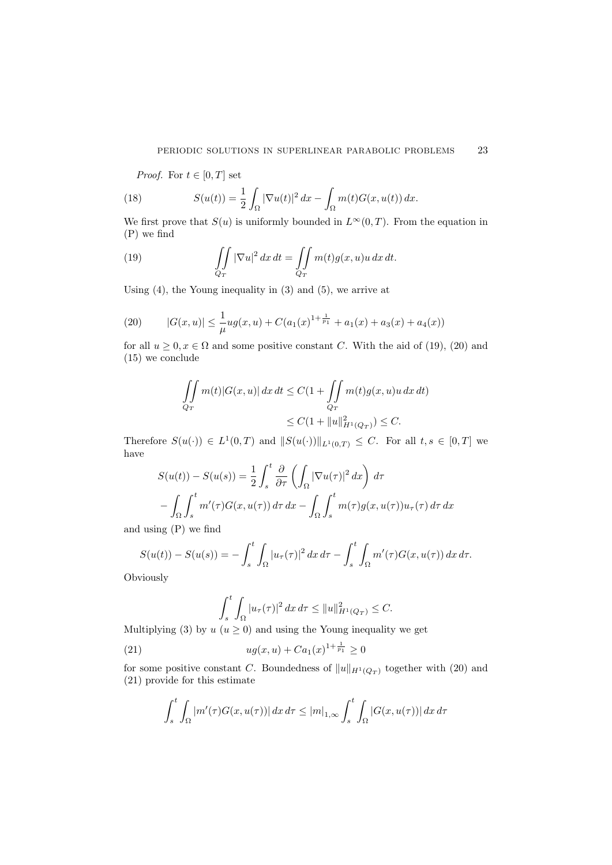*Proof.* For  $t \in [0, T]$  set

(18) 
$$
S(u(t)) = \frac{1}{2} \int_{\Omega} |\nabla u(t)|^2 dx - \int_{\Omega} m(t) G(x, u(t)) dx.
$$

We first prove that  $S(u)$  is uniformly bounded in  $L^{\infty}(0,T)$ . From the equation in (P) we find

(19) 
$$
\iint_{Q_T} |\nabla u|^2 dx dt = \iint_{Q_T} m(t)g(x, u)u dx dt.
$$

Using (4), the Young inequality in (3) and (5), we arrive at

(20) 
$$
|G(x, u)| \leq \frac{1}{\mu} u g(x, u) + C(a_1(x)^{1 + \frac{1}{p_1}} + a_1(x) + a_3(x) + a_4(x))
$$

for all  $u \geq 0, x \in \Omega$  and some positive constant C. With the aid of (19), (20) and (15) we conclude

$$
\iint\limits_{Q_T} m(t)|G(x,u)| dx dt \le C(1 + \iint\limits_{Q_T} m(t)g(x,u)u dx dt)
$$
  

$$
\le C(1 + ||u||_{H^1(Q_T)}^2) \le C.
$$

Therefore  $S(u(\cdot)) \in L^1(0,T)$  and  $||S(u(\cdot))||_{L^1(0,T)} \leq C$ . For all  $t,s \in [0,T]$  we have

$$
S(u(t)) - S(u(s)) = \frac{1}{2} \int_s^t \frac{\partial}{\partial \tau} \left( \int_{\Omega} |\nabla u(\tau)|^2 dx \right) d\tau
$$

$$
- \int_{\Omega} \int_s^t m'(\tau) G(x, u(\tau)) d\tau dx - \int_{\Omega} \int_s^t m(\tau) g(x, u(\tau)) u_\tau(\tau) d\tau dx
$$

and using (P) we find

$$
S(u(t)) - S(u(s)) = -\int_s^t \int_{\Omega} |u_{\tau}(\tau)|^2 dx d\tau - \int_s^t \int_{\Omega} m'(\tau)G(x, u(\tau)) dx d\tau.
$$
  
viously

Obviously

$$
\int_{s}^{t} \int_{\Omega} |u_{\tau}(\tau)|^2 dx d\tau \leq ||u||_{H^1(Q_T)}^2 \leq C.
$$

Multiplying (3) by  $u (u \ge 0)$  and using the Young inequality we get

(21) 
$$
ug(x, u) + Ca1(x)^{1 + \frac{1}{p_1}} \geq 0
$$

for some positive constant C. Boundedness of  $||u||_{H^1(Q_T)}$  together with (20) and (21) provide for this estimate

$$
\int_{s}^{t} \int_{\Omega} |m'(\tau)G(x, u(\tau))| dx d\tau \leq |m|_{1,\infty} \int_{s}^{t} \int_{\Omega} |G(x, u(\tau))| dx d\tau
$$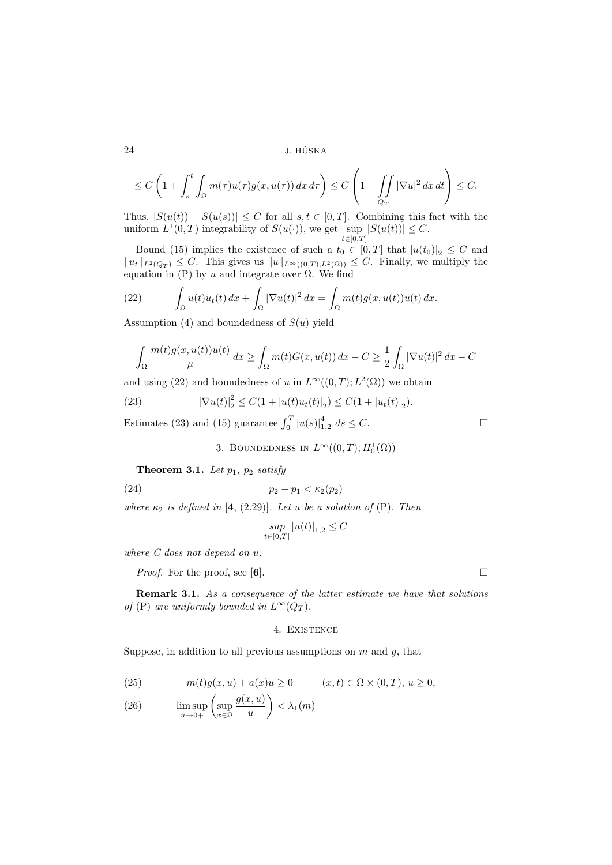$$
\leq C\left(1+\int_s^t \int_{\Omega} m(\tau)u(\tau)g(x,u(\tau)) dx d\tau\right) \leq C\left(1+\int_{Q_T} |\nabla u|^2 dx dt\right) \leq C.
$$

Thus,  $|S(u(t)) - S(u(s))| \leq C$  for all  $s, t \in [0, T]$ . Combining this fact with the uniform  $L^1(0,T)$  integrability of  $S(u(\cdot))$ , we get sup  $t\in[0,T]$  $|S(u(t))| \leq C.$ 

Bound (15) implies the existence of such a  $t_0 \in [0, T]$  that  $|u(t_0)|_2 \leq C$  and  $||u_t||_{L^2(Q_T)} \leq C$ . This gives us  $||u||_{L^{\infty}((0,T);L^2(\Omega))} \leq C$ . Finally, we multiply the equation in  $(P)$  by u and integrate over  $\Omega$ . We find

(22) 
$$
\int_{\Omega} u(t)u_t(t) dx + \int_{\Omega} |\nabla u(t)|^2 dx = \int_{\Omega} m(t)g(x, u(t))u(t) dx.
$$

Assumption (4) and boundedness of  $S(u)$  yield

$$
\int_{\Omega} \frac{m(t)g(x, u(t))u(t)}{\mu} dx \ge \int_{\Omega} m(t)G(x, u(t)) dx - C \ge \frac{1}{2} \int_{\Omega} |\nabla u(t)|^2 dx - C
$$

and using (22) and boundedness of u in  $L^{\infty}((0,T); L^2(\Omega))$  we obtain

(23) 
$$
|\nabla u(t)|_2^2 \leq C(1+|u(t)u_t(t)|_2) \leq C(1+|u_t(t)|_2).
$$

Estimates (23) and (15) guarantee  $\int_0^T |u(s)|_{1,2}^4 ds \leq C$ .

3. BOUNDEDNESS IN  $L^{\infty}((0,T); H_0^1(\Omega))$ 

Theorem 3.1. Let  $p_1$ ,  $p_2$  satisfy

$$
(24) \qquad \qquad p_2 - p_1 < \kappa_2(p_2)
$$

where  $\kappa_2$  is defined in [4, (2.29)]. Let u be a solution of (P). Then

$$
\sup_{t\in[0,T]}|u(t)|_{1,2}\leq C
$$

where C does not depend on u.

*Proof.* For the proof, see [6].

Remark 3.1. As a consequence of the latter estimate we have that solutions of (P) are uniformly bounded in  $L^{\infty}(Q_T)$ .

# 4. Existence

Suppose, in addition to all previous assumptions on  $m$  and  $q$ , that

(25) 
$$
m(t)g(x, u) + a(x)u \ge 0
$$
  $(x, t) \in \Omega \times (0, T), u \ge 0,$ 

(26) 
$$
\limsup_{u \to 0+} \left( \sup_{x \in \Omega} \frac{g(x, u)}{u} \right) < \lambda_1(m)
$$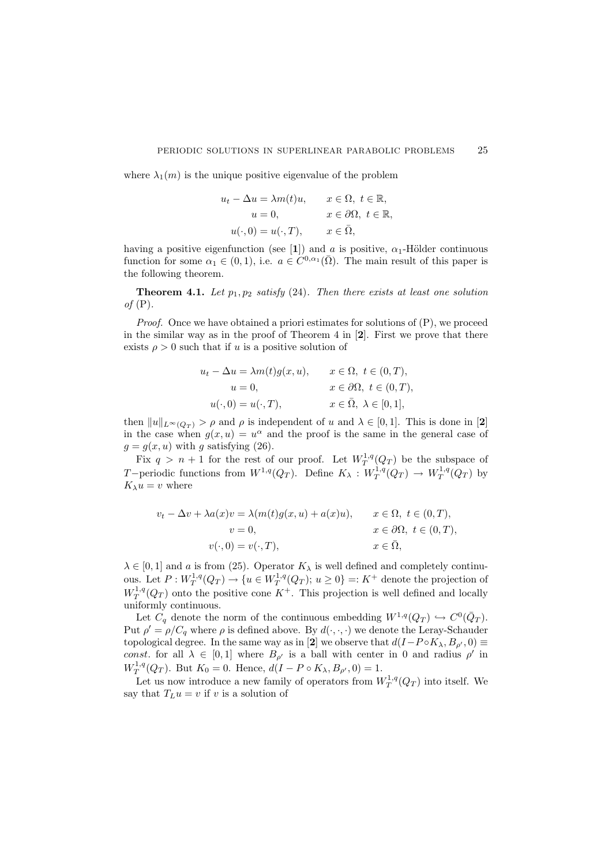where  $\lambda_1(m)$  is the unique positive eigenvalue of the problem

$$
u_t - \Delta u = \lambda m(t)u, \qquad x \in \Omega, \ t \in \mathbb{R},
$$
  
\n
$$
u = 0, \qquad x \in \partial\Omega, \ t \in \mathbb{R},
$$
  
\n
$$
u(\cdot, 0) = u(\cdot, T), \qquad x \in \overline{\Omega},
$$

having a positive eigenfunction (see [1]) and a is positive,  $\alpha_1$ -Hölder continuous function for some  $\alpha_1 \in (0,1)$ , i.e.  $a \in C^{0,\alpha_1}(\overline{\Omega})$ . The main result of this paper is the following theorem.

**Theorem 4.1.** Let  $p_1, p_2$  satisfy (24). Then there exists at least one solution of  $(P)$ .

*Proof.* Once we have obtained a priori estimates for solutions of  $(P)$ , we proceed in the similar way as in the proof of Theorem 4 in  $[2]$ . First we prove that there exists  $\rho > 0$  such that if u is a positive solution of

$$
u_t - \Delta u = \lambda m(t)g(x, u), \qquad x \in \Omega, \ t \in (0, T),
$$
  
\n
$$
u = 0, \qquad x \in \partial\Omega, \ t \in (0, T),
$$
  
\n
$$
u(\cdot, 0) = u(\cdot, T), \qquad x \in \overline{\Omega}, \ \lambda \in [0, 1],
$$

then  $||u||_{L^{\infty}(Q_T)} > \rho$  and  $\rho$  is independent of u and  $\lambda \in [0,1]$ . This is done in [2] in the case when  $g(x, u) = u^{\alpha}$  and the proof is the same in the general case of  $g = g(x, u)$  with g satisfying (26).

Fix  $q > n + 1$  for the rest of our proof. Let  $W_T^{1,q}(Q_T)$  be the subspace of T-periodic functions from  $W^{1,q}(Q_T)$ . Define  $K_\lambda: W^{1,q}_T(Q_T) \to W^{1,q}_T(Q_T)$  by  $K_\lambda u = v$  where

$$
v_t - \Delta v + \lambda a(x)v = \lambda(m(t)g(x, u) + a(x)u), \qquad x \in \Omega, \ t \in (0, T),
$$
  
\n
$$
v = 0, \qquad x \in \partial\Omega, \ t \in (0, T),
$$
  
\n
$$
v(\cdot, 0) = v(\cdot, T), \qquad x \in \overline{\Omega},
$$

 $\lambda \in [0,1]$  and a is from (25). Operator  $K_{\lambda}$  is well defined and completely continuous. Let  $P: W_T^{1,q}(Q_T) \to \{u \in W_T^{1,q}(Q_T); u \geq 0\} =: K^+$  denote the projection of  $W_T^{1,q}(Q_T)$  onto the positive cone  $K^+$ . This projection is well defined and locally uniformly continuous.

Let  $C_q$  denote the norm of the continuous embedding  $W^{1,q}(Q_T) \hookrightarrow C^0(\bar{Q}_T)$ . Put  $\rho' = \rho/C_q$  where  $\rho$  is defined above. By  $d(\cdot, \cdot, \cdot)$  we denote the Leray-Schauder topological degree. In the same way as in [2] we observe that  $d(I-P \circ K_{\lambda}, B_{\rho'}, 0) \equiv$ const. for all  $\lambda \in [0,1]$  where  $B_{\rho'}$  is a ball with center in 0 and radius  $\rho'$  in  $W_T^{1,q}(Q_T)$ . But  $K_0 = 0$ . Hence,  $d(I - P \circ K_\lambda, B_{\rho'}, 0) = 1$ .

Let us now introduce a new family of operators from  $W_T^{1,q}(Q_T)$  into itself. We say that  $T_L u = v$  if v is a solution of